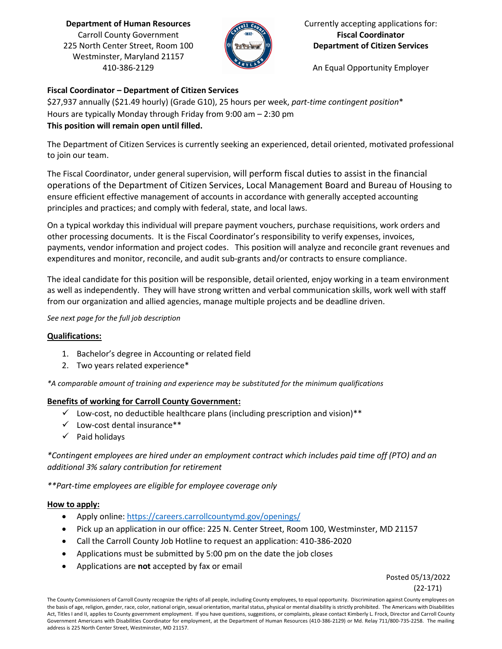**Department of Human Resources** Carroll County Government 225 North Center Street, Room 100 Westminster, Maryland 21157 410-386-2129



Currently accepting applications for: **Fiscal Coordinator Department of Citizen Services**

An Equal Opportunity Employer

# **Fiscal Coordinator – Department of Citizen Services**

\$27,937 annually (\$21.49 hourly) (Grade G10), 25 hours per week, *part-time contingent position*\* Hours are typically Monday through Friday from 9:00 am – 2:30 pm **This position will remain open until filled.**

The Department of Citizen Services is currently seeking an experienced, detail oriented, motivated professional to join our team.

The Fiscal Coordinator, under general supervision, will perform fiscal duties to assist in the financial operations of the Department of Citizen Services, Local Management Board and Bureau of Housing to ensure efficient effective management of accounts in accordance with generally accepted accounting principles and practices; and comply with federal, state, and local laws.

On a typical workday this individual will prepare payment vouchers, purchase requisitions, work orders and other processing documents. It is the Fiscal Coordinator's responsibility to verify expenses, invoices, payments, vendor information and project codes. This position will analyze and reconcile grant revenues and expenditures and monitor, reconcile, and audit sub-grants and/or contracts to ensure compliance.

The ideal candidate for this position will be responsible, detail oriented, enjoy working in a team environment as well as independently. They will have strong written and verbal communication skills, work well with staff from our organization and allied agencies, manage multiple projects and be deadline driven.

*See next page for the full job description*

## **Qualifications:**

- 1. Bachelor's degree in Accounting or related field
- 2. Two years related experience\*

*\*A comparable amount of training and experience may be substituted for the minimum qualifications*

## **Benefits of working for Carroll County Government:**

- $\checkmark$  Low-cost, no deductible healthcare plans (including prescription and vision)\*\*
- $\checkmark$  Low-cost dental insurance\*\*
- $\checkmark$  Paid holidays

*\*Contingent employees are hired under an employment contract which includes paid time off (PTO) and an additional 3% salary contribution for retirement*

*\*\*Part-time employees are eligible for employee coverage only* 

## **How to apply:**

- Apply online:<https://careers.carrollcountymd.gov/openings/>
- Pick up an application in our office: 225 N. Center Street, Room 100, Westminster, MD 21157
- Call the Carroll County Job Hotline to request an application: 410-386-2020
- Applications must be submitted by 5:00 pm on the date the job closes
- Applications are **not** accepted by fax or email

Posted 05/13/2022

(22-171)

The County Commissioners of Carroll County recognize the rights of all people, including County employees, to equal opportunity. Discrimination against County employees on the basis of age, religion, gender, race, color, national origin, sexual orientation, marital status, physical or mental disability is strictly prohibited. The Americans with Disabilities Act, Titles I and II, applies to County government employment. If you have questions, suggestions, or complaints, please contact Kimberly L. Frock, Director and Carroll County Government Americans with Disabilities Coordinator for employment, at the Department of Human Resources (410-386-2129) or Md. Relay 711/800-735-2258. The mailing address is 225 North Center Street, Westminster, MD 21157.